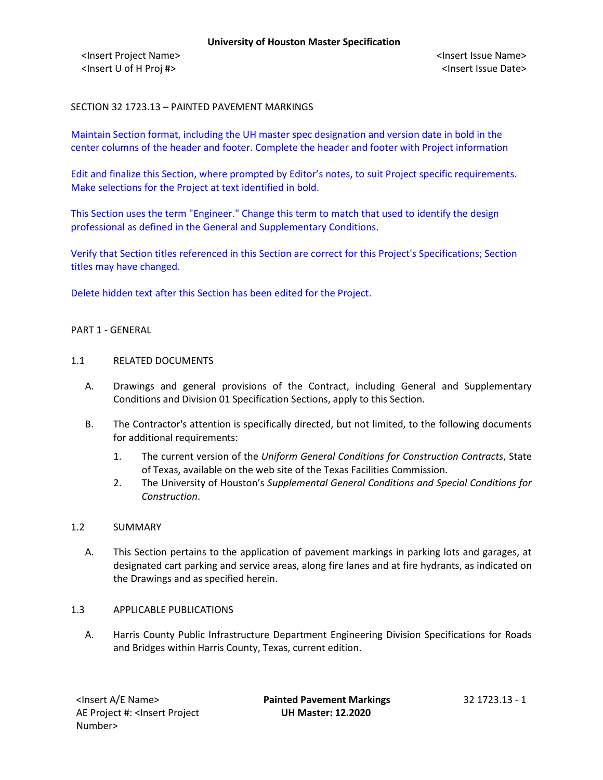<Insert Project Name> <Insert Issue Name> <Insert U of H Proj #> <Insert Issue Date>

# SECTION 32 1723.13 – PAINTED PAVEMENT MARKINGS

Maintain Section format, including the UH master spec designation and version date in bold in the center columns of the header and footer. Complete the header and footer with Project information

Edit and finalize this Section, where prompted by Editor's notes, to suit Project specific requirements. Make selections for the Project at text identified in bold.

This Section uses the term "Engineer." Change this term to match that used to identify the design professional as defined in the General and Supplementary Conditions.

Verify that Section titles referenced in this Section are correct for this Project's Specifications; Section titles may have changed.

Delete hidden text after this Section has been edited for the Project.

#### PART 1 - GENERAL

#### 1.1 RELATED DOCUMENTS

- A. Drawings and general provisions of the Contract, including General and Supplementary Conditions and Division 01 Specification Sections, apply to this Section.
- B. The Contractor's attention is specifically directed, but not limited, to the following documents for additional requirements:
	- 1. The current version of the *Uniform General Conditions for Construction Contracts*, State of Texas, available on the web site of the Texas Facilities Commission.
	- 2. The University of Houston's *Supplemental General Conditions and Special Conditions for Construction*.

### 1.2 SUMMARY

A. This Section pertains to the application of pavement markings in parking lots and garages, at designated cart parking and service areas, along fire lanes and at fire hydrants, as indicated on the Drawings and as specified herein.

### 1.3 APPLICABLE PUBLICATIONS

A. Harris County Public Infrastructure Department Engineering Division Specifications for Roads and Bridges within Harris County, Texas, current edition.

<Insert A/E Name> **Painted Pavement Markings** 32 1723.13 - 1 **UH Master: 12.2020**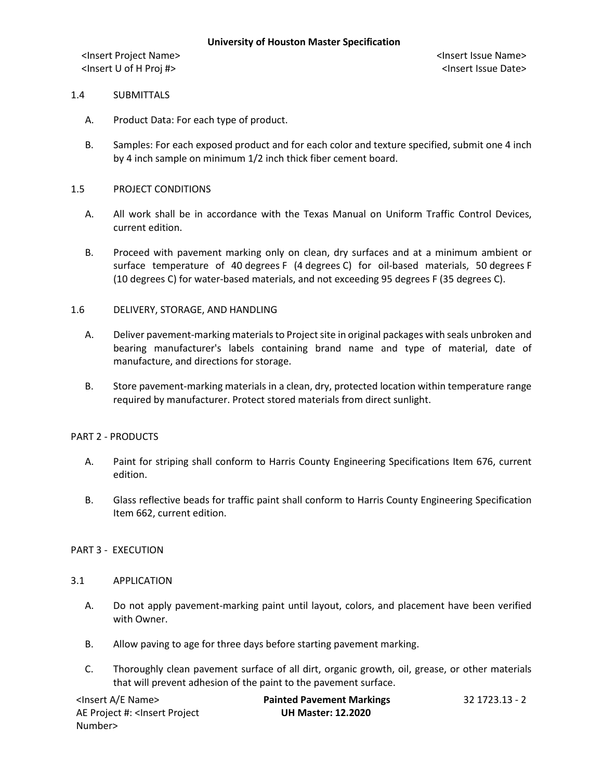<Insert Project Name> <Insert Issue Name> <Insert U of H Proj #> <Insert Issue Date>

## 1.4 SUBMITTALS

- A. Product Data: For each type of product.
- B. Samples: For each exposed product and for each color and texture specified, submit one 4 inch by 4 inch sample on minimum 1/2 inch thick fiber cement board.

## 1.5 PROJECT CONDITIONS

- A. All work shall be in accordance with the Texas Manual on Uniform Traffic Control Devices, current edition.
- B. Proceed with pavement marking only on clean, dry surfaces and at a minimum ambient or surface temperature of 40 degrees F (4 degrees C) for oil-based materials, 50 degrees F (10 degrees C) for water-based materials, and not exceeding 95 degrees F (35 degrees C).

# 1.6 DELIVERY, STORAGE, AND HANDLING

- A. Deliver pavement-marking materials to Project site in original packages with seals unbroken and bearing manufacturer's labels containing brand name and type of material, date of manufacture, and directions for storage.
- B. Store pavement-marking materials in a clean, dry, protected location within temperature range required by manufacturer. Protect stored materials from direct sunlight.

### PART 2 - PRODUCTS

- A. Paint for striping shall conform to Harris County Engineering Specifications Item 676, current edition.
- B. Glass reflective beads for traffic paint shall conform to Harris County Engineering Specification Item 662, current edition.

### PART 3 - EXECUTION

### 3.1 APPLICATION

- A. Do not apply pavement-marking paint until layout, colors, and placement have been verified with Owner.
- B. Allow paving to age for three days before starting pavement marking.
- C. Thoroughly clean pavement surface of all dirt, organic growth, oil, grease, or other materials that will prevent adhesion of the paint to the pavement surface.

| <lnsert a="" e="" name=""></lnsert>                                                          | <b>Painted Pavement Markings</b> | 32 1723.13 - 2 |
|----------------------------------------------------------------------------------------------|----------------------------------|----------------|
| AE Project #: <lnsert project<="" td=""><td><b>UH Master: 12.2020</b></td><td></td></lnsert> | <b>UH Master: 12.2020</b>        |                |
| Number>                                                                                      |                                  |                |